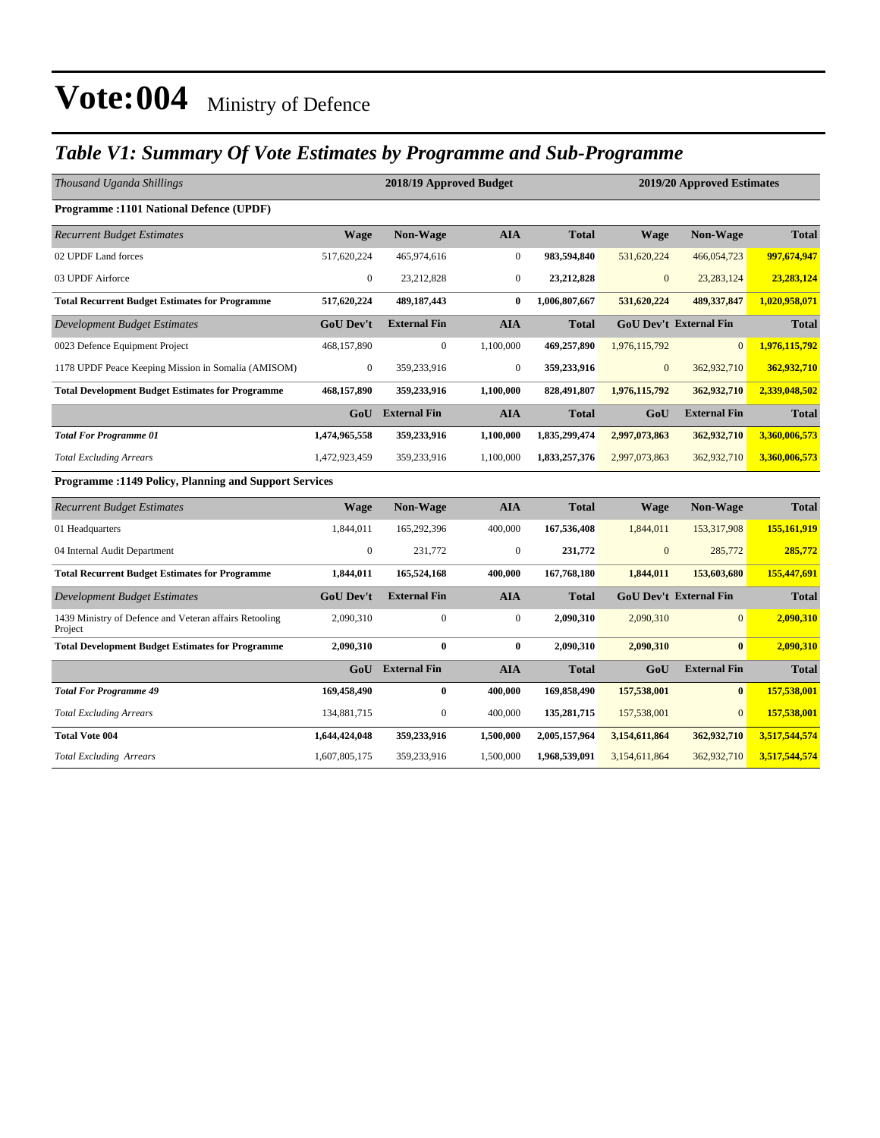### *Table V1: Summary Of Vote Estimates by Programme and Sub-Programme*

| Thousand Uganda Shillings                                         |                  | 2018/19 Approved Budget |                  |               | 2019/20 Approved Estimates |                               |               |  |
|-------------------------------------------------------------------|------------------|-------------------------|------------------|---------------|----------------------------|-------------------------------|---------------|--|
| <b>Programme:1101 National Defence (UPDF)</b>                     |                  |                         |                  |               |                            |                               |               |  |
| <b>Recurrent Budget Estimates</b>                                 | <b>Wage</b>      | Non-Wage                | <b>AIA</b>       | <b>Total</b>  | <b>Wage</b>                | Non-Wage                      | <b>Total</b>  |  |
| 02 UPDF Land forces                                               | 517,620,224      | 465,974,616             | $\boldsymbol{0}$ | 983,594,840   | 531,620,224                | 466,054,723                   | 997,674,947   |  |
| 03 UPDF Airforce                                                  | $\boldsymbol{0}$ | 23,212,828              | $\boldsymbol{0}$ | 23,212,828    | $\mathbf{0}$               | 23, 283, 124                  | 23,283,124    |  |
| <b>Total Recurrent Budget Estimates for Programme</b>             | 517,620,224      | 489,187,443             | $\bf{0}$         | 1,006,807,667 | 531,620,224                | 489,337,847                   | 1,020,958,071 |  |
| Development Budget Estimates                                      | <b>GoU Dev't</b> | <b>External Fin</b>     | <b>AIA</b>       | <b>Total</b>  |                            | <b>GoU Dev't External Fin</b> | <b>Total</b>  |  |
| 0023 Defence Equipment Project                                    | 468,157,890      | 0                       | 1,100,000        | 469,257,890   | 1,976,115,792              | $\overline{0}$                | 1,976,115,792 |  |
| 1178 UPDF Peace Keeping Mission in Somalia (AMISOM)               | $\mathbf{0}$     | 359,233,916             | $\boldsymbol{0}$ | 359,233,916   | $\mathbf{0}$               | 362,932,710                   | 362,932,710   |  |
| <b>Total Development Budget Estimates for Programme</b>           | 468,157,890      | 359,233,916             | 1,100,000        | 828,491,807   | 1,976,115,792              | 362,932,710                   | 2,339,048,502 |  |
|                                                                   | GoU              | <b>External Fin</b>     | <b>AIA</b>       | <b>Total</b>  | GoU                        | <b>External Fin</b>           | <b>Total</b>  |  |
| <b>Total For Programme 01</b>                                     | 1,474,965,558    | 359,233,916             | 1,100,000        | 1,835,299,474 | 2,997,073,863              | 362,932,710                   | 3,360,006,573 |  |
| <b>Total Excluding Arrears</b>                                    | 1,472,923,459    | 359,233,916             | 1,100,000        | 1,833,257,376 | 2,997,073,863              | 362,932,710                   | 3,360,006,573 |  |
| <b>Programme: 1149 Policy, Planning and Support Services</b>      |                  |                         |                  |               |                            |                               |               |  |
| <b>Recurrent Budget Estimates</b>                                 | <b>Wage</b>      | Non-Wage                | <b>AIA</b>       | <b>Total</b>  | <b>Wage</b>                | Non-Wage                      | <b>Total</b>  |  |
| 01 Headquarters                                                   | 1,844,011        | 165,292,396             | 400,000          | 167,536,408   | 1,844,011                  | 153,317,908                   | 155,161,919   |  |
| 04 Internal Audit Department                                      | $\boldsymbol{0}$ | 231,772                 | $\boldsymbol{0}$ | 231,772       | $\mathbf{0}$               | 285,772                       | 285,772       |  |
| <b>Total Recurrent Budget Estimates for Programme</b>             | 1,844,011        | 165,524,168             | 400,000          | 167,768,180   | 1,844,011                  | 153,603,680                   | 155,447,691   |  |
| <b>Development Budget Estimates</b>                               | <b>GoU Dev't</b> | <b>External Fin</b>     | <b>AIA</b>       | <b>Total</b>  |                            | <b>GoU Dev't External Fin</b> | <b>Total</b>  |  |
| 1439 Ministry of Defence and Veteran affairs Retooling<br>Project | 2,090,310        | $\boldsymbol{0}$        | $\boldsymbol{0}$ | 2,090,310     | 2,090,310                  | $\overline{0}$                | 2,090,310     |  |
| <b>Total Development Budget Estimates for Programme</b>           | 2,090,310        | $\bf{0}$                | $\bf{0}$         | 2,090,310     | 2,090,310                  | $\bf{0}$                      | 2,090,310     |  |
|                                                                   | GoU              | <b>External Fin</b>     | <b>AIA</b>       | <b>Total</b>  | GoU                        | <b>External Fin</b>           | <b>Total</b>  |  |
| <b>Total For Programme 49</b>                                     | 169,458,490      | $\bf{0}$                | 400,000          | 169,858,490   | 157,538,001                | $\bf{0}$                      | 157,538,001   |  |
| <b>Total Excluding Arrears</b>                                    | 134,881,715      | $\boldsymbol{0}$        | 400,000          | 135,281,715   | 157,538,001                | $\mathbf{0}$                  | 157,538,001   |  |
| <b>Total Vote 004</b>                                             | 1,644,424,048    | 359,233,916             | 1,500,000        | 2,005,157,964 | 3,154,611,864              | 362,932,710                   | 3,517,544,574 |  |
| Total Excluding Arrears                                           | 1,607,805,175    | 359,233,916             | 1,500,000        | 1,968,539,091 | 3,154,611,864              | 362,932,710                   | 3,517,544,574 |  |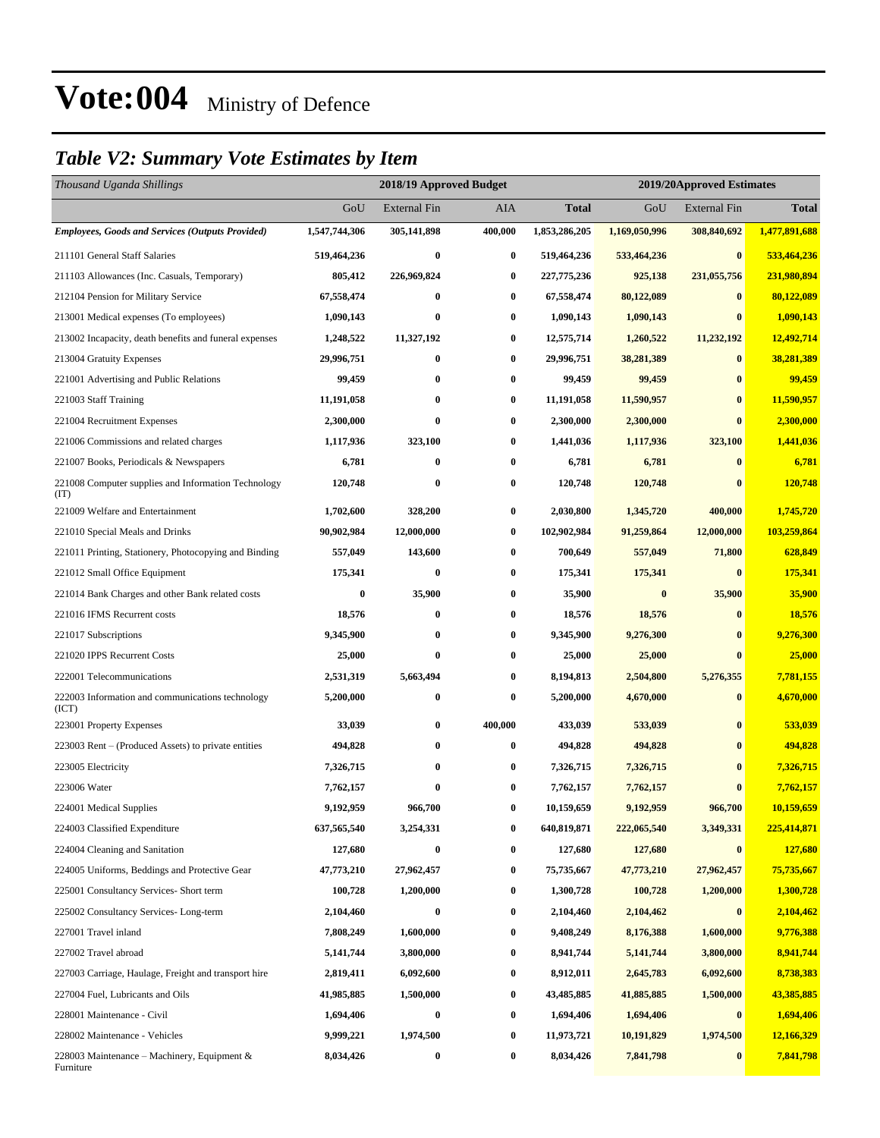### *Table V2: Summary Vote Estimates by Item*

| Thousand Uganda Shillings                                   |               | 2018/19 Approved Budget |         |               | 2019/20Approved Estimates |                     |               |  |
|-------------------------------------------------------------|---------------|-------------------------|---------|---------------|---------------------------|---------------------|---------------|--|
|                                                             | GoU           | <b>External Fin</b>     | AIA     | Total         | GoU                       | <b>External Fin</b> | <b>Total</b>  |  |
| <b>Employees, Goods and Services (Outputs Provided)</b>     | 1,547,744,306 | 305,141,898             | 400,000 | 1,853,286,205 | 1,169,050,996             | 308,840,692         | 1,477,891,688 |  |
| 211101 General Staff Salaries                               | 519,464,236   | $\bf{0}$                | 0       | 519,464,236   | 533,464,236               | $\bf{0}$            | 533,464,236   |  |
| 211103 Allowances (Inc. Casuals, Temporary)                 | 805,412       | 226,969,824             | 0       | 227,775,236   | 925,138                   | 231,055,756         | 231,980,894   |  |
| 212104 Pension for Military Service                         | 67,558,474    | $\bf{0}$                | 0       | 67,558,474    | 80,122,089                | $\bf{0}$            | 80,122,089    |  |
| 213001 Medical expenses (To employees)                      | 1,090,143     | $\bf{0}$                | 0       | 1,090,143     | 1,090,143                 | $\bf{0}$            | 1,090,143     |  |
| 213002 Incapacity, death benefits and funeral expenses      | 1,248,522     | 11,327,192              | 0       | 12,575,714    | 1,260,522                 | 11,232,192          | 12,492,714    |  |
| 213004 Gratuity Expenses                                    | 29,996,751    | $\bf{0}$                | 0       | 29,996,751    | 38,281,389                | $\bf{0}$            | 38,281,389    |  |
| 221001 Advertising and Public Relations                     | 99,459        | $\bf{0}$                | 0       | 99,459        | 99,459                    | $\bf{0}$            | 99,459        |  |
| 221003 Staff Training                                       | 11,191,058    | $\bf{0}$                | 0       | 11,191,058    | 11,590,957                | $\bf{0}$            | 11,590,957    |  |
| 221004 Recruitment Expenses                                 | 2,300,000     | $\bf{0}$                | 0       | 2,300,000     | 2,300,000                 | $\bf{0}$            | 2,300,000     |  |
| 221006 Commissions and related charges                      | 1,117,936     | 323,100                 | 0       | 1,441,036     | 1,117,936                 | 323,100             | 1,441,036     |  |
| 221007 Books, Periodicals & Newspapers                      | 6,781         | $\bf{0}$                | 0       | 6,781         | 6,781                     | $\bf{0}$            | 6,781         |  |
| 221008 Computer supplies and Information Technology<br>(TT) | 120,748       | $\bf{0}$                | 0       | 120,748       | 120,748                   | $\bf{0}$            | 120,748       |  |
| 221009 Welfare and Entertainment                            | 1,702,600     | 328,200                 | 0       | 2,030,800     | 1,345,720                 | 400,000             | 1,745,720     |  |
| 221010 Special Meals and Drinks                             | 90,902,984    | 12,000,000              | 0       | 102,902,984   | 91,259,864                | 12,000,000          | 103,259,864   |  |
| 221011 Printing, Stationery, Photocopying and Binding       | 557,049       | 143,600                 | 0       | 700,649       | 557,049                   | 71,800              | 628,849       |  |
| 221012 Small Office Equipment                               | 175,341       | $\bf{0}$                | 0       | 175,341       | 175,341                   | $\bf{0}$            | 175,341       |  |
| 221014 Bank Charges and other Bank related costs            | 0             | 35,900                  | 0       | 35,900        | $\bf{0}$                  | 35,900              | 35,900        |  |
| 221016 IFMS Recurrent costs                                 | 18,576        | $\bf{0}$                | 0       | 18,576        | 18,576                    | $\bf{0}$            | 18,576        |  |
| 221017 Subscriptions                                        | 9,345,900     | $\bf{0}$                | 0       | 9,345,900     | 9,276,300                 | $\bf{0}$            | 9,276,300     |  |
| 221020 IPPS Recurrent Costs                                 | 25,000        | $\bf{0}$                | 0       | 25,000        | 25,000                    | $\bf{0}$            | 25,000        |  |
| 222001 Telecommunications                                   | 2,531,319     | 5,663,494               | 0       | 8,194,813     | 2,504,800                 | 5,276,355           | 7,781,155     |  |
| 222003 Information and communications technology<br>(ICT)   | 5,200,000     | $\bf{0}$                | 0       | 5,200,000     | 4,670,000                 | $\bf{0}$            | 4,670,000     |  |
| 223001 Property Expenses                                    | 33,039        | $\bf{0}$                | 400,000 | 433,039       | 533,039                   | $\bf{0}$            | 533,039       |  |
| 223003 Rent – (Produced Assets) to private entities         | 494,828       | $\bf{0}$                | 0       | 494,828       | 494,828                   | $\bf{0}$            | 494,828       |  |
| 223005 Electricity                                          | 7,326,715     | $\bf{0}$                | 0       | 7,326,715     | 7,326,715                 | $\bf{0}$            | 7,326,715     |  |
| 223006 Water                                                | 7,762,157     | $\bf{0}$                | 0       | 7,762,157     | 7,762,157                 | $\bf{0}$            | 7,762,157     |  |
| 224001 Medical Supplies                                     | 9,192,959     | 966,700                 | 0       | 10,159,659    | 9,192,959                 | 966,700             | 10,159,659    |  |
| 224003 Classified Expenditure                               | 637,565,540   | 3,254,331               | 0       | 640,819,871   | 222,065,540               | 3,349,331           | 225,414,871   |  |
| 224004 Cleaning and Sanitation                              | 127,680       | $\bf{0}$                | 0       | 127,680       | 127,680                   | $\bf{0}$            | 127,680       |  |
| 224005 Uniforms, Beddings and Protective Gear               | 47,773,210    | 27,962,457              | 0       | 75,735,667    | 47,773,210                | 27,962,457          | 75,735,667    |  |
| 225001 Consultancy Services- Short term                     | 100,728       | 1,200,000               | 0       | 1,300,728     | 100,728                   | 1,200,000           | 1,300,728     |  |
| 225002 Consultancy Services-Long-term                       | 2,104,460     | $\bf{0}$                | 0       | 2,104,460     | 2,104,462                 | $\boldsymbol{0}$    | 2,104,462     |  |
| 227001 Travel inland                                        | 7,808,249     | 1,600,000               | 0       | 9,408,249     | 8,176,388                 | 1,600,000           | 9,776,388     |  |
| 227002 Travel abroad                                        | 5,141,744     | 3,800,000               | 0       | 8,941,744     | 5, 141, 744               | 3,800,000           | 8,941,744     |  |
| 227003 Carriage, Haulage, Freight and transport hire        | 2,819,411     | 6,092,600               | 0       | 8,912,011     | 2,645,783                 | 6,092,600           | 8,738,383     |  |
| 227004 Fuel, Lubricants and Oils                            | 41,985,885    | 1,500,000               | 0       | 43,485,885    | 41,885,885                | 1,500,000           | 43,385,885    |  |
| 228001 Maintenance - Civil                                  | 1,694,406     | $\bf{0}$                | 0       | 1,694,406     | 1,694,406                 | $\boldsymbol{0}$    | 1,694,406     |  |
| 228002 Maintenance - Vehicles                               | 9,999,221     | 1,974,500               | 0       | 11,973,721    | 10,191,829                | 1,974,500           | 12,166,329    |  |
| 228003 Maintenance – Machinery, Equipment $\&$<br>Furniture | 8,034,426     | $\bf{0}$                | 0       | 8,034,426     | 7,841,798                 | $\bf{0}$            | 7,841,798     |  |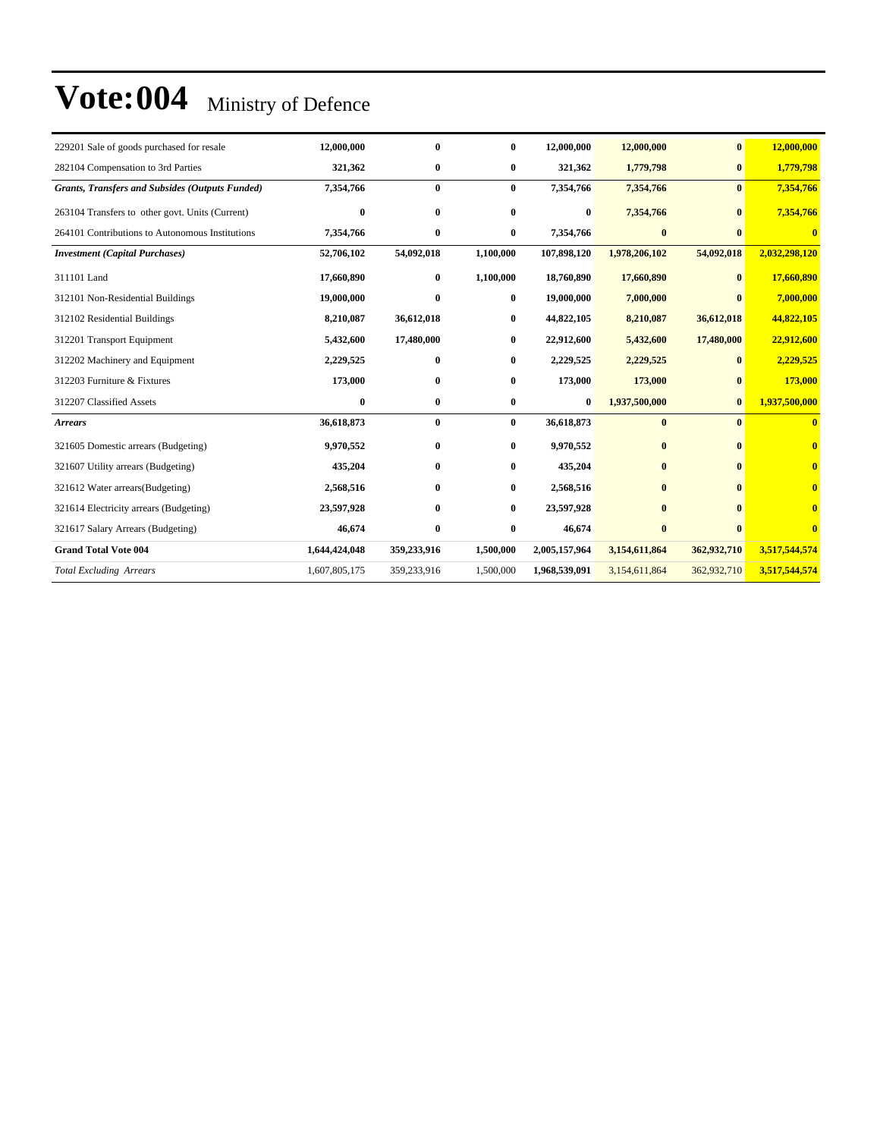| 229201 Sale of goods purchased for resale              | 12,000,000    | $\bf{0}$     | 0            | 12,000,000    | 12,000,000    | $\bf{0}$     | 12,000,000    |
|--------------------------------------------------------|---------------|--------------|--------------|---------------|---------------|--------------|---------------|
| 282104 Compensation to 3rd Parties                     | 321,362       | $\bf{0}$     | $\bf{0}$     | 321,362       | 1,779,798     | $\bf{0}$     | 1,779,798     |
| <b>Grants, Transfers and Subsides (Outputs Funded)</b> | 7,354,766     | $\bf{0}$     | $\mathbf{0}$ | 7,354,766     | 7,354,766     | $\mathbf{0}$ | 7,354,766     |
| 263104 Transfers to other govt. Units (Current)        | $\bf{0}$      | $\mathbf{0}$ | $\bf{0}$     | $\bf{0}$      | 7,354,766     | $\mathbf{0}$ | 7,354,766     |
| 264101 Contributions to Autonomous Institutions        | 7,354,766     | $\bf{0}$     | $\bf{0}$     | 7,354,766     | $\bf{0}$      | $\mathbf{0}$ | $\bf{0}$      |
| <b>Investment</b> (Capital Purchases)                  | 52,706,102    | 54,092,018   | 1,100,000    | 107,898,120   | 1,978,206,102 | 54,092,018   | 2,032,298,120 |
| 311101 Land                                            | 17,660,890    | $\bf{0}$     | 1,100,000    | 18,760,890    | 17,660,890    | $\bf{0}$     | 17,660,890    |
| 312101 Non-Residential Buildings                       | 19,000,000    | $\mathbf{0}$ | 0            | 19,000,000    | 7,000,000     |              | 7,000,000     |
| 312102 Residential Buildings                           | 8,210,087     | 36,612,018   | $\bf{0}$     | 44,822,105    | 8,210,087     | 36,612,018   | 44,822,105    |
| 312201 Transport Equipment                             | 5,432,600     | 17,480,000   | 0            | 22,912,600    | 5,432,600     | 17,480,000   | 22,912,600    |
| 312202 Machinery and Equipment                         | 2,229,525     | $\mathbf{0}$ | 0            | 2,229,525     | 2,229,525     |              | 2,229,525     |
| 312203 Furniture & Fixtures                            | 173,000       | $\bf{0}$     | 0            | 173,000       | 173,000       |              | 173,000       |
| 312207 Classified Assets                               | $\bf{0}$      | $\bf{0}$     | $\bf{0}$     | $\bf{0}$      | 1,937,500,000 | $\bf{0}$     | 1,937,500,000 |
| <b>Arrears</b>                                         | 36,618,873    | $\bf{0}$     | $\bf{0}$     | 36,618,873    | $\bf{0}$      | $\bf{0}$     | $\mathbf{0}$  |
| 321605 Domestic arrears (Budgeting)                    | 9,970,552     | $\bf{0}$     | $\bf{0}$     | 9,970,552     | $\bf{0}$      |              | $\mathbf{0}$  |
| 321607 Utility arrears (Budgeting)                     | 435,204       | $\mathbf{0}$ | 0            | 435,204       | $\mathbf{0}$  |              | $\mathbf{0}$  |
| 321612 Water arrears (Budgeting)                       | 2,568,516     | $\mathbf{0}$ | 0            | 2,568,516     | $\mathbf{0}$  |              | $\mathbf{0}$  |
| 321614 Electricity arrears (Budgeting)                 | 23,597,928    | $\mathbf{0}$ | $\bf{0}$     | 23,597,928    | $\mathbf{0}$  |              | $\bf{0}$      |
| 321617 Salary Arrears (Budgeting)                      | 46,674        | $\bf{0}$     | 0            | 46,674        | $\bf{0}$      |              | $\mathbf{0}$  |
| <b>Grand Total Vote 004</b>                            | 1,644,424,048 | 359,233,916  | 1,500,000    | 2,005,157,964 | 3,154,611,864 | 362,932,710  | 3,517,544,574 |
| <b>Total Excluding Arrears</b>                         | 1,607,805,175 | 359,233,916  | 1,500,000    | 1,968,539,091 | 3,154,611,864 | 362,932,710  | 3,517,544,574 |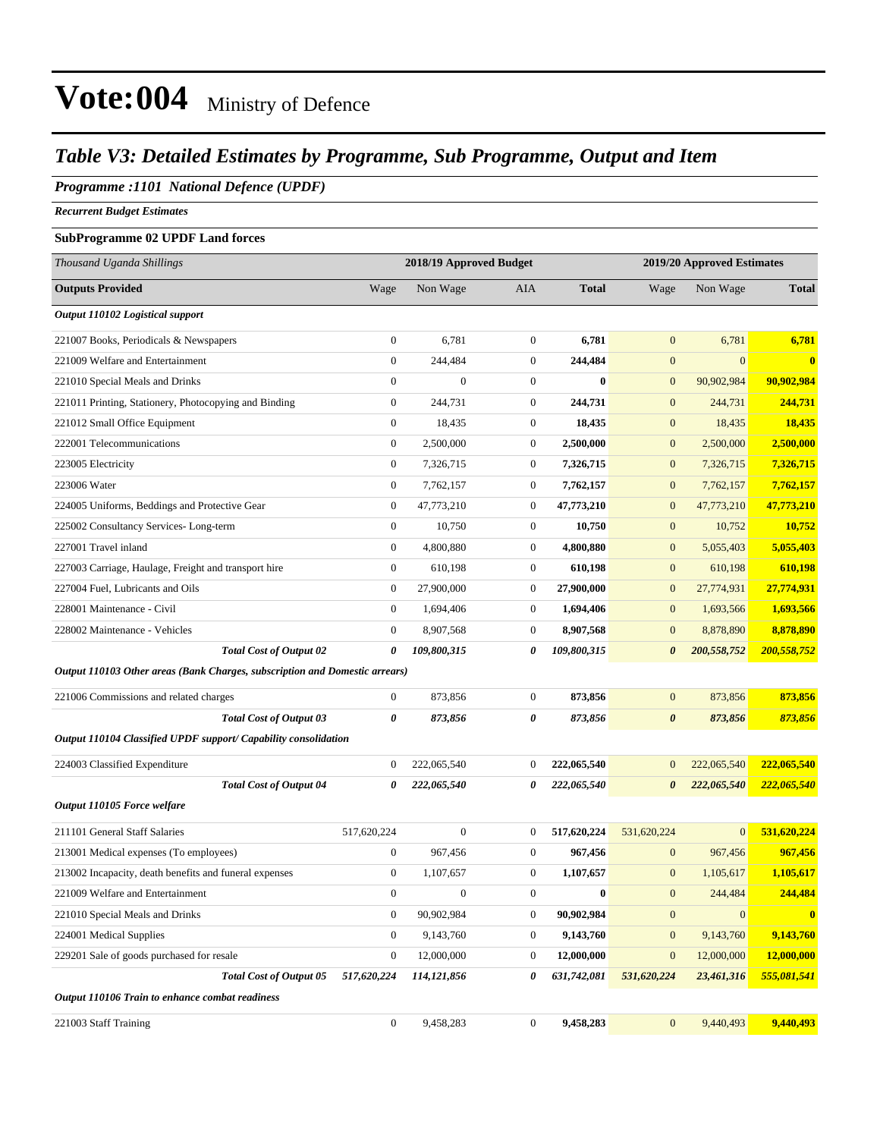### *Table V3: Detailed Estimates by Programme, Sub Programme, Output and Item*

#### *Programme :1101 National Defence (UPDF)*

*Recurrent Budget Estimates*

#### **SubProgramme 02 UPDF Land forces**

| Thousand Uganda Shillings                                                   |                       | 2018/19 Approved Budget |                  |              | 2019/20 Approved Estimates |                  |              |
|-----------------------------------------------------------------------------|-----------------------|-------------------------|------------------|--------------|----------------------------|------------------|--------------|
| <b>Outputs Provided</b>                                                     | Wage                  | Non Wage                | AIA              | <b>Total</b> | Wage                       | Non Wage         | <b>Total</b> |
| Output 110102 Logistical support                                            |                       |                         |                  |              |                            |                  |              |
| 221007 Books, Periodicals & Newspapers                                      | $\boldsymbol{0}$      | 6,781                   | $\boldsymbol{0}$ | 6,781        | $\mathbf{0}$               | 6,781            | 6,781        |
| 221009 Welfare and Entertainment                                            | $\boldsymbol{0}$      | 244,484                 | $\boldsymbol{0}$ | 244,484      | $\mathbf{0}$               | $\mathbf{0}$     | $\bf{0}$     |
| 221010 Special Meals and Drinks                                             | $\overline{0}$        | $\overline{0}$          | $\boldsymbol{0}$ | $\mathbf{0}$ | $\mathbf{0}$               | 90,902,984       | 90,902,984   |
| 221011 Printing, Stationery, Photocopying and Binding                       | $\boldsymbol{0}$      | 244,731                 | $\boldsymbol{0}$ | 244,731      | $\mathbf{0}$               | 244,731          | 244,731      |
| 221012 Small Office Equipment                                               | $\boldsymbol{0}$      | 18,435                  | $\boldsymbol{0}$ | 18,435       | $\boldsymbol{0}$           | 18,435           | 18,435       |
| 222001 Telecommunications                                                   | $\boldsymbol{0}$      | 2,500,000               | $\boldsymbol{0}$ | 2,500,000    | $\boldsymbol{0}$           | 2,500,000        | 2,500,000    |
| 223005 Electricity                                                          | $\boldsymbol{0}$      | 7,326,715               | $\boldsymbol{0}$ | 7,326,715    | $\mathbf{0}$               | 7,326,715        | 7,326,715    |
| 223006 Water                                                                | $\mathbf{0}$          | 7,762,157               | $\boldsymbol{0}$ | 7,762,157    | $\mathbf{0}$               | 7,762,157        | 7,762,157    |
| 224005 Uniforms, Beddings and Protective Gear                               | $\mathbf{0}$          | 47,773,210              | $\boldsymbol{0}$ | 47,773,210   | $\mathbf{0}$               | 47,773,210       | 47,773,210   |
| 225002 Consultancy Services-Long-term                                       | $\boldsymbol{0}$      | 10,750                  | $\overline{0}$   | 10,750       | $\mathbf{0}$               | 10,752           | 10,752       |
| 227001 Travel inland                                                        | $\boldsymbol{0}$      | 4,800,880               | $\boldsymbol{0}$ | 4,800,880    | $\mathbf{0}$               | 5,055,403        | 5,055,403    |
| 227003 Carriage, Haulage, Freight and transport hire                        | $\boldsymbol{0}$      | 610,198                 | $\boldsymbol{0}$ | 610,198      | $\mathbf{0}$               | 610,198          | 610,198      |
| 227004 Fuel, Lubricants and Oils                                            | $\mathbf{0}$          | 27,900,000              | $\boldsymbol{0}$ | 27,900,000   | $\mathbf{0}$               | 27,774,931       | 27,774,931   |
| 228001 Maintenance - Civil                                                  | $\mathbf{0}$          | 1,694,406               | 0                | 1,694,406    | $\mathbf{0}$               | 1,693,566        | 1,693,566    |
| 228002 Maintenance - Vehicles                                               | $\boldsymbol{0}$      | 8,907,568               | $\boldsymbol{0}$ | 8,907,568    | $\mathbf{0}$               | 8,878,890        | 8,878,890    |
| <b>Total Cost of Output 02</b>                                              | 0                     | 109,800,315             | 0                | 109,800,315  | $\boldsymbol{\theta}$      | 200,558,752      | 200,558,752  |
| Output 110103 Other areas (Bank Charges, subscription and Domestic arrears) |                       |                         |                  |              |                            |                  |              |
| 221006 Commissions and related charges                                      | $\bf{0}$              | 873,856                 | $\boldsymbol{0}$ | 873,856      | $\mathbf{0}$               | 873,856          | 873,856      |
| <b>Total Cost of Output 03</b>                                              | $\boldsymbol{\theta}$ | 873,856                 | 0                | 873,856      | $\boldsymbol{\theta}$      | 873,856          | 873,856      |
| Output 110104 Classified UPDF support/ Capability consolidation             |                       |                         |                  |              |                            |                  |              |
| 224003 Classified Expenditure                                               | $\bf{0}$              | 222,065,540             | $\boldsymbol{0}$ | 222,065,540  | $\mathbf{0}$               | 222,065,540      | 222,065,540  |
| <b>Total Cost of Output 04</b>                                              | 0                     | 222,065,540             | 0                | 222,065,540  | $\boldsymbol{\theta}$      | 222,065,540      | 222,065,540  |
| Output 110105 Force welfare                                                 |                       |                         |                  |              |                            |                  |              |
| 211101 General Staff Salaries                                               | 517,620,224           | $\boldsymbol{0}$        | $\boldsymbol{0}$ | 517,620,224  | 531,620,224                | $\mathbf{0}$     | 531,620,224  |
| 213001 Medical expenses (To employees)                                      | $\mathbf{0}$          | 967,456                 | $\boldsymbol{0}$ | 967,456      | $\mathbf{0}$               | 967,456          | 967,456      |
| 213002 Incapacity, death benefits and funeral expenses                      | $\mathbf{0}$          | 1,107,657               | $\boldsymbol{0}$ | 1,107,657    | $\mathbf{0}$               | 1,105,617        | 1,105,617    |
| 221009 Welfare and Entertainment                                            | $\boldsymbol{0}$      |                         | $\overline{0}$   |              | $\mathbf{0}$               | 244,484          | 244,484      |
| 221010 Special Meals and Drinks                                             | $\mathbf{0}$          | 90,902,984              | $\boldsymbol{0}$ | 90,902,984   | $\boldsymbol{0}$           | $\boldsymbol{0}$ | $\bf{0}$     |
| 224001 Medical Supplies                                                     | $\boldsymbol{0}$      | 9,143,760               | $\boldsymbol{0}$ | 9,143,760    | $\boldsymbol{0}$           | 9,143,760        | 9,143,760    |
| 229201 Sale of goods purchased for resale                                   | $\mathbf{0}$          | 12,000,000              | $\boldsymbol{0}$ | 12,000,000   | $\mathbf{0}$               | 12,000,000       | 12,000,000   |
| <b>Total Cost of Output 05</b>                                              | 517,620,224           | 114,121,856             | 0                | 631,742,081  | 531,620,224                | 23,461,316       | 555,081,541  |
| Output 110106 Train to enhance combat readiness                             |                       |                         |                  |              |                            |                  |              |
| 221003 Staff Training                                                       | $\boldsymbol{0}$      | 9,458,283               | $\boldsymbol{0}$ | 9,458,283    | $\mathbf{0}$               | 9,440,493        | 9,440,493    |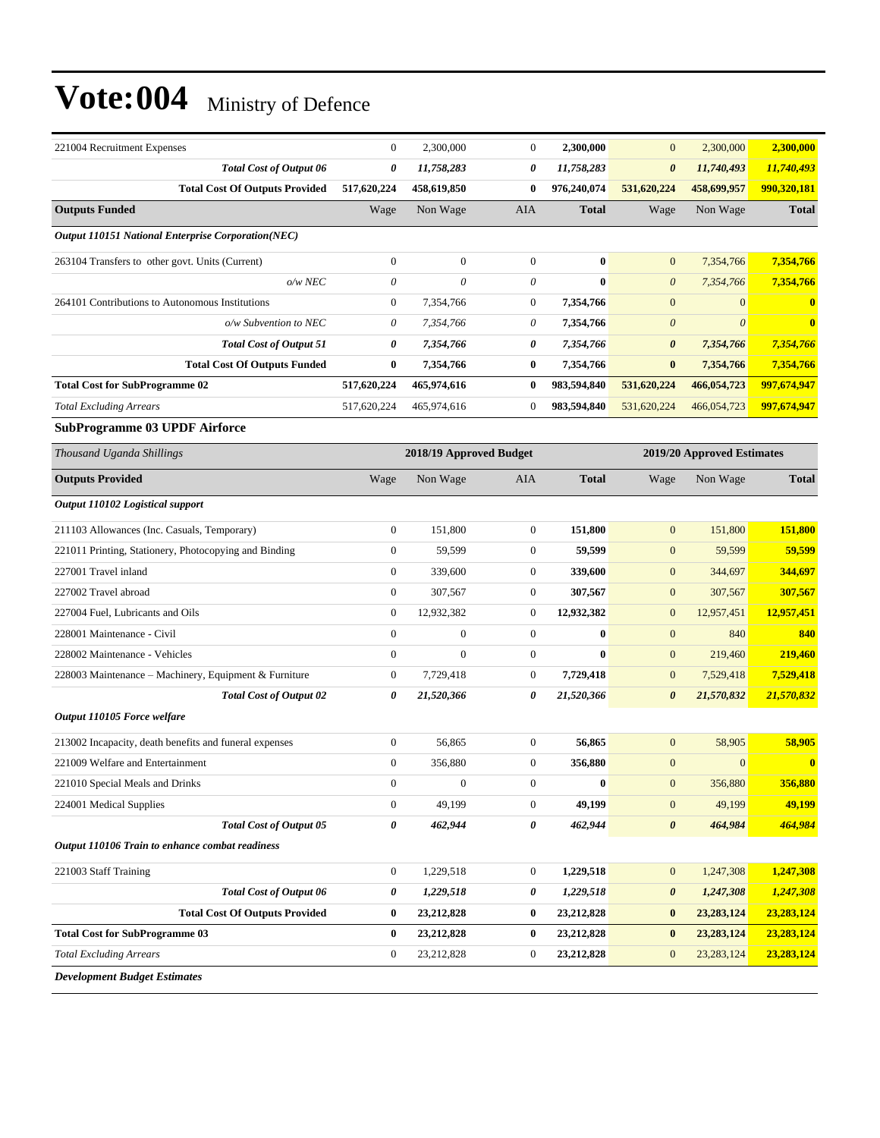| 221004 Recruitment Expenses                               | $\boldsymbol{0}$ | 2,300,000               | $\boldsymbol{0}$ | 2,300,000    | $\mathbf{0}$          | 2,300,000                  | 2,300,000    |
|-----------------------------------------------------------|------------------|-------------------------|------------------|--------------|-----------------------|----------------------------|--------------|
| <b>Total Cost of Output 06</b>                            | 0                | 11,758,283              | 0                | 11,758,283   | $\boldsymbol{\theta}$ | 11,740,493                 | 11,740,493   |
| <b>Total Cost Of Outputs Provided</b>                     | 517,620,224      | 458,619,850             | $\bf{0}$         | 976,240,074  | 531,620,224           | 458,699,957                | 990,320,181  |
| <b>Outputs Funded</b>                                     | Wage             | Non Wage                | AIA              | <b>Total</b> | Wage                  | Non Wage                   | <b>Total</b> |
| <b>Output 110151 National Enterprise Corporation(NEC)</b> |                  |                         |                  |              |                       |                            |              |
| 263104 Transfers to other govt. Units (Current)           | $\boldsymbol{0}$ | $\mathbf{0}$            | $\mathbf{0}$     | $\bf{0}$     | $\mathbf{0}$          | 7,354,766                  | 7,354,766    |
| $o/w$ NEC                                                 | $\theta$         | 0                       | 0                | $\bf{0}$     | $\boldsymbol{\theta}$ | 7,354,766                  | 7,354,766    |
| 264101 Contributions to Autonomous Institutions           | $\boldsymbol{0}$ | 7,354,766               | $\mathbf{0}$     | 7,354,766    | $\boldsymbol{0}$      | $\mathbf{0}$               | $\bf{0}$     |
| o/w Subvention to NEC                                     | $\theta$         | 7,354,766               | 0                | 7,354,766    | $\boldsymbol{\theta}$ | $\theta$                   | $\bf{0}$     |
| <b>Total Cost of Output 51</b>                            | 0                | 7,354,766               | 0                | 7,354,766    | $\boldsymbol{\theta}$ | 7,354,766                  | 7,354,766    |
| <b>Total Cost Of Outputs Funded</b>                       | $\bf{0}$         | 7,354,766               | $\bf{0}$         | 7,354,766    | $\bf{0}$              | 7,354,766                  | 7,354,766    |
| <b>Total Cost for SubProgramme 02</b>                     | 517,620,224      | 465,974,616             | $\bf{0}$         | 983,594,840  | 531,620,224           | 466,054,723                | 997,674,947  |
| <b>Total Excluding Arrears</b>                            | 517,620,224      | 465,974,616             | $\mathbf{0}$     | 983,594,840  | 531,620,224           | 466,054,723                | 997,674,947  |
| <b>SubProgramme 03 UPDF Airforce</b>                      |                  |                         |                  |              |                       |                            |              |
| Thousand Uganda Shillings                                 |                  | 2018/19 Approved Budget |                  |              |                       | 2019/20 Approved Estimates |              |
| <b>Outputs Provided</b>                                   | Wage             | Non Wage                | AIA              | <b>Total</b> | Wage                  | Non Wage                   | <b>Total</b> |
| Output 110102 Logistical support                          |                  |                         |                  |              |                       |                            |              |
| 211103 Allowances (Inc. Casuals, Temporary)               | $\boldsymbol{0}$ | 151,800                 | $\mathbf{0}$     | 151,800      | $\mathbf{0}$          | 151,800                    | 151,800      |
| 221011 Printing, Stationery, Photocopying and Binding     | $\mathbf{0}$     | 59,599                  | $\mathbf{0}$     | 59,599       | $\mathbf{0}$          | 59,599                     | 59,599       |
| 227001 Travel inland                                      | $\boldsymbol{0}$ | 339,600                 | $\boldsymbol{0}$ | 339,600      | $\mathbf{0}$          | 344,697                    | 344,697      |
| 227002 Travel abroad                                      | $\boldsymbol{0}$ | 307,567                 | $\mathbf{0}$     | 307,567      | $\boldsymbol{0}$      | 307,567                    | 307,567      |
| 227004 Fuel, Lubricants and Oils                          | $\boldsymbol{0}$ | 12,932,382              | $\boldsymbol{0}$ | 12,932,382   | $\mathbf{0}$          | 12,957,451                 | 12,957,451   |
| 228001 Maintenance - Civil                                | $\boldsymbol{0}$ | $\boldsymbol{0}$        | $\mathbf{0}$     | $\bf{0}$     | $\boldsymbol{0}$      | 840                        | 840          |
| 228002 Maintenance - Vehicles                             | $\mathbf{0}$     | $\mathbf{0}$            | $\overline{0}$   | $\bf{0}$     | $\boldsymbol{0}$      | 219,460                    | 219,460      |
| 228003 Maintenance - Machinery, Equipment & Furniture     | $\boldsymbol{0}$ | 7,729,418               | $\boldsymbol{0}$ | 7,729,418    | $\mathbf{0}$          | 7,529,418                  | 7,529,418    |
| <b>Total Cost of Output 02</b>                            | 0                | 21,520,366              | 0                | 21,520,366   | $\boldsymbol{\theta}$ | 21,570,832                 | 21,570,832   |
| Output 110105 Force welfare                               |                  |                         |                  |              |                       |                            |              |
| 213002 Incapacity, death benefits and funeral expenses    | $\boldsymbol{0}$ | 56,865                  | $\boldsymbol{0}$ | 56,865       | $\mathbf{0}$          | 58,905                     | 58,905       |
| 221009 Welfare and Entertainment                          | $\boldsymbol{0}$ | 356,880                 | $\mathbf{0}$     | 356,880      | $\mathbf{0}$          | $\mathbf{0}$               | $\mathbf{0}$ |
| 221010 Special Meals and Drinks                           | $\boldsymbol{0}$ | $\boldsymbol{0}$        | $\mathbf{0}$     | $\bf{0}$     | $\boldsymbol{0}$      | 356,880                    | 356,880      |
| 224001 Medical Supplies                                   | $\boldsymbol{0}$ | 49,199                  | $\mathbf{0}$     | 49,199       | $\boldsymbol{0}$      | 49,199                     | 49,199       |
| <b>Total Cost of Output 05</b>                            | 0                | 462,944                 | 0                | 462,944      | $\boldsymbol{\theta}$ | 464,984                    | 464,984      |
| Output 110106 Train to enhance combat readiness           |                  |                         |                  |              |                       |                            |              |
| 221003 Staff Training                                     | $\boldsymbol{0}$ | 1,229,518               | $\boldsymbol{0}$ | 1,229,518    | $\boldsymbol{0}$      | 1,247,308                  | 1,247,308    |
| <b>Total Cost of Output 06</b>                            | 0                | 1,229,518               | 0                | 1,229,518    | 0                     | 1,247,308                  | 1,247,308    |
| <b>Total Cost Of Outputs Provided</b>                     | $\bf{0}$         | 23,212,828              | $\bf{0}$         | 23,212,828   | $\boldsymbol{0}$      | 23, 283, 124               | 23,283,124   |
| <b>Total Cost for SubProgramme 03</b>                     | $\bf{0}$         | 23,212,828              | $\bf{0}$         | 23,212,828   | $\bf{0}$              | 23, 283, 124               | 23,283,124   |
| <b>Total Excluding Arrears</b>                            | $\boldsymbol{0}$ | 23,212,828              | $\boldsymbol{0}$ | 23,212,828   | $\mathbf{0}$          | 23, 283, 124               | 23,283,124   |
| <b>Development Budget Estimates</b>                       |                  |                         |                  |              |                       |                            |              |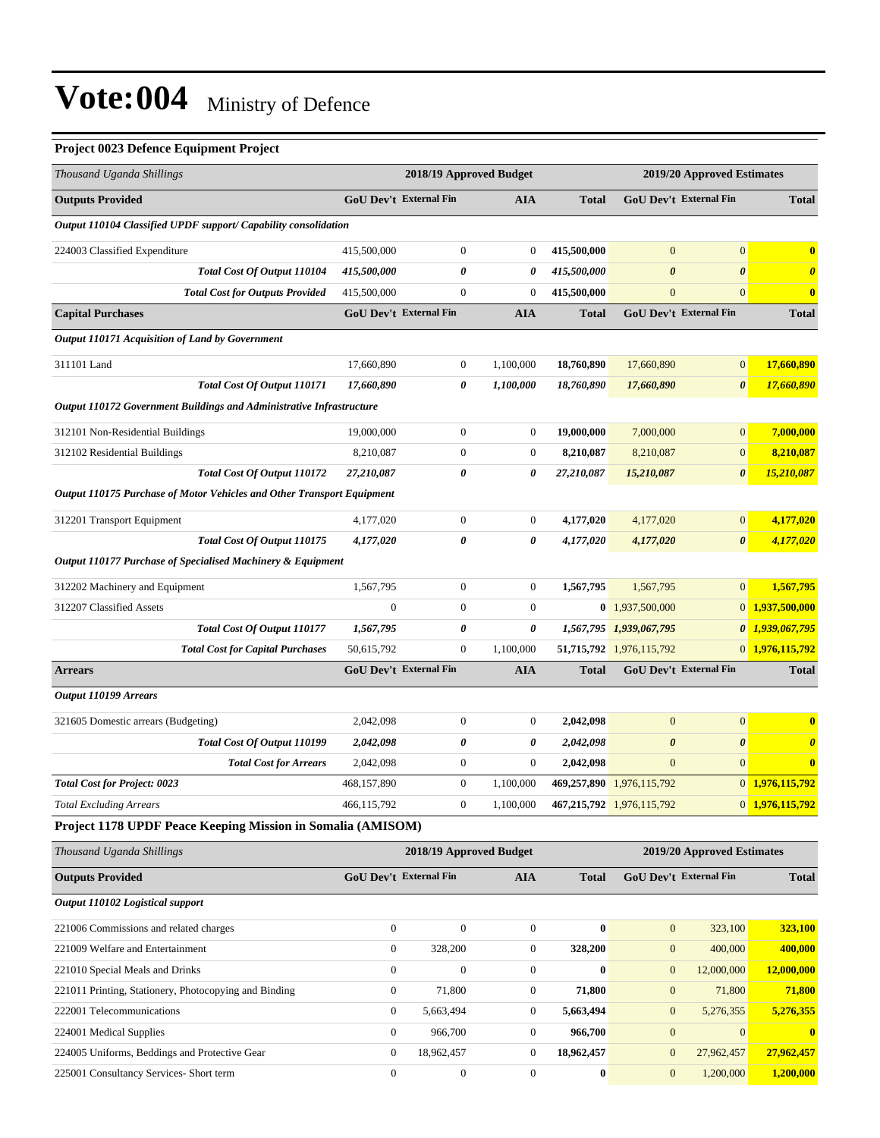#### **Project 0023 Defence Equipment Project**

| Thousand Uganda Shillings                                              |                        | 2018/19 Approved Budget       |                  |              |                           | 2019/20 Approved Estimates    |                       |
|------------------------------------------------------------------------|------------------------|-------------------------------|------------------|--------------|---------------------------|-------------------------------|-----------------------|
| <b>Outputs Provided</b>                                                |                        | GoU Dev't External Fin        | <b>AIA</b>       | <b>Total</b> |                           | GoU Dev't External Fin        | <b>Total</b>          |
| Output 110104 Classified UPDF support/ Capability consolidation        |                        |                               |                  |              |                           |                               |                       |
| 224003 Classified Expenditure                                          | 415,500,000            | $\boldsymbol{0}$              | $\boldsymbol{0}$ | 415,500,000  | $\mathbf{0}$              | $\mathbf{0}$                  | $\bf{0}$              |
| Total Cost Of Output 110104                                            | 415,500,000            | 0                             | 0                | 415,500,000  | $\boldsymbol{\theta}$     | $\boldsymbol{\theta}$         | $\boldsymbol{\theta}$ |
| <b>Total Cost for Outputs Provided</b>                                 | 415,500,000            | $\mathbf{0}$                  | $\boldsymbol{0}$ | 415,500,000  | $\boldsymbol{0}$          | $\mathbf{0}$                  | $\bf{0}$              |
| <b>Capital Purchases</b>                                               |                        | <b>GoU Dev't External Fin</b> | <b>AIA</b>       | <b>Total</b> |                           | <b>GoU Dev't External Fin</b> | <b>Total</b>          |
| Output 110171 Acquisition of Land by Government                        |                        |                               |                  |              |                           |                               |                       |
| 311101 Land                                                            | 17,660,890             | $\boldsymbol{0}$              | 1,100,000        | 18,760,890   | 17,660,890                | $\mathbf{0}$                  | 17,660,890            |
| Total Cost Of Output 110171                                            | 17,660,890             | 0                             | 1,100,000        | 18,760,890   | 17,660,890                | $\boldsymbol{\theta}$         | 17,660,890            |
| Output 110172 Government Buildings and Administrative Infrastructure   |                        |                               |                  |              |                           |                               |                       |
| 312101 Non-Residential Buildings                                       | 19,000,000             | $\boldsymbol{0}$              | $\mathbf{0}$     | 19,000,000   | 7,000,000                 | $\mathbf{0}$                  | 7,000,000             |
| 312102 Residential Buildings                                           | 8,210,087              | $\boldsymbol{0}$              | $\boldsymbol{0}$ | 8,210,087    | 8,210,087                 | $\mathbf{0}$                  | 8,210,087             |
| Total Cost Of Output 110172                                            | 27,210,087             | 0                             | 0                | 27,210,087   | 15,210,087                | $\boldsymbol{\theta}$         | 15,210,087            |
| Output 110175 Purchase of Motor Vehicles and Other Transport Equipment |                        |                               |                  |              |                           |                               |                       |
| 312201 Transport Equipment                                             | 4,177,020              | $\boldsymbol{0}$              | $\boldsymbol{0}$ | 4,177,020    | 4,177,020                 | $\mathbf{0}$                  | 4,177,020             |
| Total Cost Of Output 110175                                            | 4,177,020              | 0                             | 0                | 4,177,020    | 4,177,020                 | $\boldsymbol{\theta}$         | 4,177,020             |
| Output 110177 Purchase of Specialised Machinery & Equipment            |                        |                               |                  |              |                           |                               |                       |
| 312202 Machinery and Equipment                                         | 1,567,795              | $\boldsymbol{0}$              | $\boldsymbol{0}$ | 1,567,795    | 1,567,795                 | $\mathbf{0}$                  | 1,567,795             |
| 312207 Classified Assets                                               | $\mathbf{0}$           | $\boldsymbol{0}$              | $\boldsymbol{0}$ |              | $0$ 1,937,500,000         |                               | 0 1,937,500,000       |
| Total Cost Of Output 110177                                            | 1,567,795              | 0                             | 0                |              | 1,567,795 1,939,067,795   | 0                             | 1,939,067,795         |
| <b>Total Cost for Capital Purchases</b>                                | 50,615,792             | $\boldsymbol{0}$              | 1,100,000        |              | 51,715,792 1,976,115,792  |                               | 0 1,976,115,792       |
| <b>Arrears</b>                                                         |                        | <b>GoU Dev't External Fin</b> | <b>AIA</b>       | <b>Total</b> |                           | GoU Dev't External Fin        | <b>Total</b>          |
| Output 110199 Arrears                                                  |                        |                               |                  |              |                           |                               |                       |
| 321605 Domestic arrears (Budgeting)                                    | 2,042,098              | $\boldsymbol{0}$              | $\mathbf{0}$     | 2,042,098    | $\boldsymbol{0}$          | $\boldsymbol{0}$              | $\bf{0}$              |
| Total Cost Of Output 110199                                            | 2,042,098              | 0                             | 0                | 2,042,098    | $\boldsymbol{\theta}$     | $\boldsymbol{\theta}$         | $\boldsymbol{\theta}$ |
| <b>Total Cost for Arrears</b>                                          | 2,042,098              | $\mathbf{0}$                  | $\boldsymbol{0}$ | 2,042,098    | $\mathbf{0}$              | $\mathbf{0}$                  | $\bf{0}$              |
| <b>Total Cost for Project: 0023</b>                                    | 468,157,890            | $\boldsymbol{0}$              | 1,100,000        |              | 469,257,890 1,976,115,792 |                               | 0 1,976,115,792       |
| <b>Total Excluding Arrears</b>                                         | 466.115.792            | $\overline{0}$                | 1,100,000        |              | 467,215,792 1,976,115,792 |                               | 0 1,976,115,792       |
| Project 1178 UPDF Peace Keeping Mission in Somalia (AMISOM)            |                        |                               |                  |              |                           |                               |                       |
| Thousand Uganda Shillings                                              |                        | 2018/19 Approved Budget       |                  |              |                           | 2019/20 Approved Estimates    |                       |
| <b>Outputs Provided</b>                                                | GoU Dev't External Fin |                               | <b>AIA</b>       | <b>Total</b> |                           | GoU Dev't External Fin        | <b>Total</b>          |
| Output 110102 Logistical support                                       |                        |                               |                  |              |                           |                               |                       |
| 221006 Commissions and related charges                                 | $\boldsymbol{0}$       | $\boldsymbol{0}$              | $\boldsymbol{0}$ | $\bf{0}$     | $\boldsymbol{0}$          | 323,100                       | 323,100               |
| 221009 Welfare and Entertainment                                       | $\boldsymbol{0}$       | 328,200                       | $\boldsymbol{0}$ | 328,200      | $\boldsymbol{0}$          | 400,000                       | 400,000               |
| 221010 Special Meals and Drinks                                        | $\boldsymbol{0}$       | $\boldsymbol{0}$              | $\boldsymbol{0}$ | $\bf{0}$     | $\mathbf{0}$              | 12,000,000                    | 12,000,000            |
| 221011 Printing, Stationery, Photocopying and Binding                  | $\boldsymbol{0}$       | 71,800                        | $\boldsymbol{0}$ | 71,800       | $\boldsymbol{0}$          | 71,800                        | 71,800                |
| 222001 Telecommunications                                              | $\boldsymbol{0}$       | 5,663,494                     | $\boldsymbol{0}$ | 5,663,494    | $\mathbf{0}$              | 5,276,355                     | 5,276,355             |
| 224001 Medical Supplies                                                | $\boldsymbol{0}$       | 966,700                       | $\boldsymbol{0}$ | 966,700      | $\boldsymbol{0}$          | $\mathbf{0}$                  | $\bf{0}$              |
| 224005 Uniforms, Beddings and Protective Gear                          | $\mathbf{0}$           | 18,962,457                    | $\boldsymbol{0}$ | 18,962,457   | $\boldsymbol{0}$          | 27,962,457                    | 27,962,457            |
| 225001 Consultancy Services- Short term                                | $\boldsymbol{0}$       | $\boldsymbol{0}$              | $\boldsymbol{0}$ | $\bf{0}$     | $\boldsymbol{0}$          | 1,200,000                     | 1,200,000             |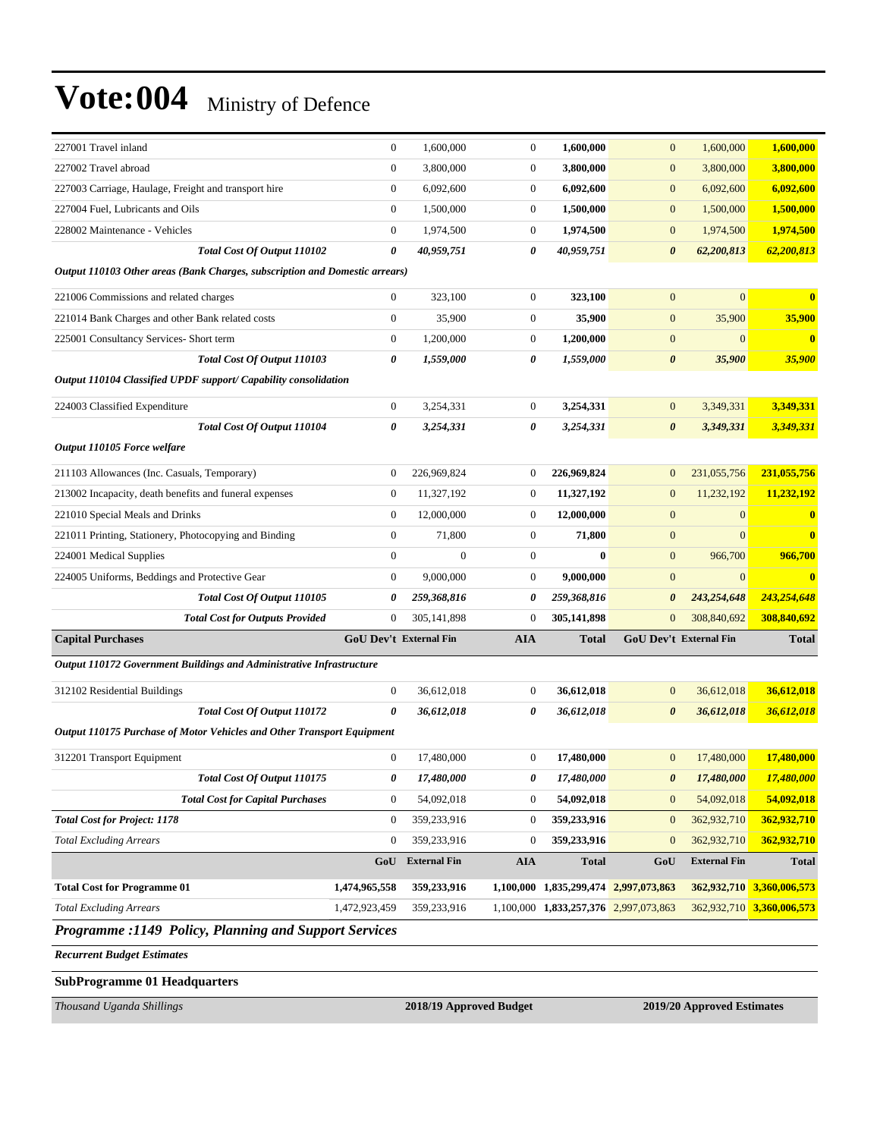| 227001 Travel inland                                                        | $\boldsymbol{0}$ | 1,600,000                     | $\boldsymbol{0}$ | 1,600,000                             | $\boldsymbol{0}$      | 1,600,000              | 1,600,000                 |
|-----------------------------------------------------------------------------|------------------|-------------------------------|------------------|---------------------------------------|-----------------------|------------------------|---------------------------|
| 227002 Travel abroad                                                        | $\boldsymbol{0}$ | 3,800,000                     | $\boldsymbol{0}$ | 3,800,000                             | $\boldsymbol{0}$      | 3,800,000              | 3,800,000                 |
| 227003 Carriage, Haulage, Freight and transport hire                        | $\boldsymbol{0}$ | 6,092,600                     | $\overline{0}$   | 6,092,600                             | $\boldsymbol{0}$      | 6,092,600              | 6,092,600                 |
| 227004 Fuel, Lubricants and Oils                                            | $\boldsymbol{0}$ | 1,500,000                     | $\mathbf{0}$     | 1,500,000                             | $\boldsymbol{0}$      | 1,500,000              | 1,500,000                 |
| 228002 Maintenance - Vehicles                                               | $\boldsymbol{0}$ | 1,974,500                     | $\boldsymbol{0}$ | 1,974,500                             | $\boldsymbol{0}$      | 1,974,500              | 1,974,500                 |
| Total Cost Of Output 110102                                                 | 0                | 40,959,751                    | 0                | 40,959,751                            | $\boldsymbol{\theta}$ | 62,200,813             | 62,200,813                |
| Output 110103 Other areas (Bank Charges, subscription and Domestic arrears) |                  |                               |                  |                                       |                       |                        |                           |
| 221006 Commissions and related charges                                      | $\mathbf{0}$     | 323,100                       | $\theta$         | 323,100                               | $\mathbf{0}$          | $\overline{0}$         | $\bf{0}$                  |
| 221014 Bank Charges and other Bank related costs                            | $\boldsymbol{0}$ | 35,900                        | $\boldsymbol{0}$ | 35,900                                | $\boldsymbol{0}$      | 35,900                 | 35,900                    |
| 225001 Consultancy Services- Short term                                     | $\boldsymbol{0}$ | 1,200,000                     | $\boldsymbol{0}$ | 1,200,000                             | $\boldsymbol{0}$      | $\boldsymbol{0}$       | $\bf{0}$                  |
| Total Cost Of Output 110103                                                 | 0                | 1,559,000                     | 0                | 1,559,000                             | $\boldsymbol{\theta}$ | 35,900                 | 35,900                    |
| Output 110104 Classified UPDF support/ Capability consolidation             |                  |                               |                  |                                       |                       |                        |                           |
| 224003 Classified Expenditure                                               | $\boldsymbol{0}$ | 3,254,331                     | $\overline{0}$   | 3,254,331                             | $\mathbf{0}$          | 3,349,331              | 3,349,331                 |
| Total Cost Of Output 110104                                                 | 0                | 3,254,331                     | 0                | 3,254,331                             | $\boldsymbol{\theta}$ | 3,349,331              | 3,349,331                 |
| Output 110105 Force welfare                                                 |                  |                               |                  |                                       |                       |                        |                           |
| 211103 Allowances (Inc. Casuals, Temporary)                                 | $\boldsymbol{0}$ | 226,969,824                   | $\boldsymbol{0}$ | 226,969,824                           | $\mathbf{0}$          | 231,055,756            | 231,055,756               |
| 213002 Incapacity, death benefits and funeral expenses                      | $\boldsymbol{0}$ | 11,327,192                    | $\boldsymbol{0}$ | 11,327,192                            | $\mathbf{0}$          | 11,232,192             | 11,232,192                |
| 221010 Special Meals and Drinks                                             | $\boldsymbol{0}$ | 12,000,000                    | $\boldsymbol{0}$ | 12,000,000                            | $\mathbf{0}$          | $\mathbf{0}$           | $\bf{0}$                  |
| 221011 Printing, Stationery, Photocopying and Binding                       | $\boldsymbol{0}$ | 71,800                        | $\mathbf{0}$     | 71,800                                | $\boldsymbol{0}$      | $\mathbf{0}$           | $\bf{0}$                  |
| 224001 Medical Supplies                                                     | $\boldsymbol{0}$ | $\mathbf{0}$                  | $\mathbf{0}$     | $\bf{0}$                              | $\boldsymbol{0}$      | 966,700                | 966,700                   |
| 224005 Uniforms, Beddings and Protective Gear                               | $\mathbf{0}$     | 9,000,000                     | $\boldsymbol{0}$ | 9,000,000                             | $\boldsymbol{0}$      | $\mathbf{0}$           | $\overline{\mathbf{0}}$   |
| Total Cost Of Output 110105                                                 | 0                | 259,368,816                   | 0                | 259,368,816                           | 0                     | 243,254,648            | 243,254,648               |
| <b>Total Cost for Outputs Provided</b>                                      | $\mathbf{0}$     | 305,141,898                   | $\boldsymbol{0}$ | 305,141,898                           | $\mathbf{0}$          | 308,840,692            | 308,840,692               |
| <b>Capital Purchases</b>                                                    |                  | <b>GoU Dev't External Fin</b> | <b>AIA</b>       | Total                                 |                       | GoU Dev't External Fin | <b>Total</b>              |
| Output 110172 Government Buildings and Administrative Infrastructure        |                  |                               |                  |                                       |                       |                        |                           |
| 312102 Residential Buildings                                                | $\boldsymbol{0}$ | 36,612,018                    | $\boldsymbol{0}$ | 36,612,018                            | $\boldsymbol{0}$      | 36,612,018             | 36,612,018                |
| Total Cost Of Output 110172                                                 | 0                | 36,612,018                    | 0                | 36,612,018                            | $\boldsymbol{\theta}$ | 36,612,018             | 36,612,018                |
| Output 110175 Purchase of Motor Vehicles and Other Transport Equipment      |                  |                               |                  |                                       |                       |                        |                           |
| 312201 Transport Equipment                                                  | $\boldsymbol{0}$ | 17,480,000                    | $\boldsymbol{0}$ | 17,480,000                            | $\mathbf{0}$          | 17,480,000             | 17,480,000                |
| Total Cost Of Output 110175                                                 | 0                | 17,480,000                    | 0                | 17,480,000                            | 0                     | 17,480,000             | 17,480,000                |
| <b>Total Cost for Capital Purchases</b>                                     | $\mathbf{0}$     | 54,092,018                    | $\boldsymbol{0}$ | 54,092,018                            | $\mathbf{0}$          | 54,092,018             | 54,092,018                |
| <b>Total Cost for Project: 1178</b>                                         | $\boldsymbol{0}$ | 359,233,916                   | $\boldsymbol{0}$ | 359,233,916                           | $\boldsymbol{0}$      | 362,932,710            | 362,932,710               |
| <b>Total Excluding Arrears</b>                                              | $\boldsymbol{0}$ | 359,233,916                   | $\boldsymbol{0}$ | 359,233,916                           | $\boldsymbol{0}$      | 362,932,710            | 362,932,710               |
|                                                                             | GoU              | <b>External Fin</b>           | <b>AIA</b>       | <b>Total</b>                          | GoU                   | <b>External Fin</b>    | <b>Total</b>              |
| <b>Total Cost for Programme 01</b>                                          | 1,474,965,558    | 359,233,916                   | 1,100,000        | 1,835,299,474 2,997,073,863           |                       |                        | 362,932,710 3,360,006,573 |
| <b>Total Excluding Arrears</b>                                              | 1,472,923,459    | 359,233,916                   |                  | 1,100,000 1,833,257,376 2,997,073,863 |                       |                        | 362,932,710 3,360,006,573 |
| <b>Programme :1149 Policy, Planning and Support Services</b>                |                  |                               |                  |                                       |                       |                        |                           |
| <b>Recurrent Budget Estimates</b>                                           |                  |                               |                  |                                       |                       |                        |                           |

**SubProgramme 01 Headquarters**

*Thousand Uganda Shillings* **2018/19 Approved Budget 2019/20 Approved Estimates**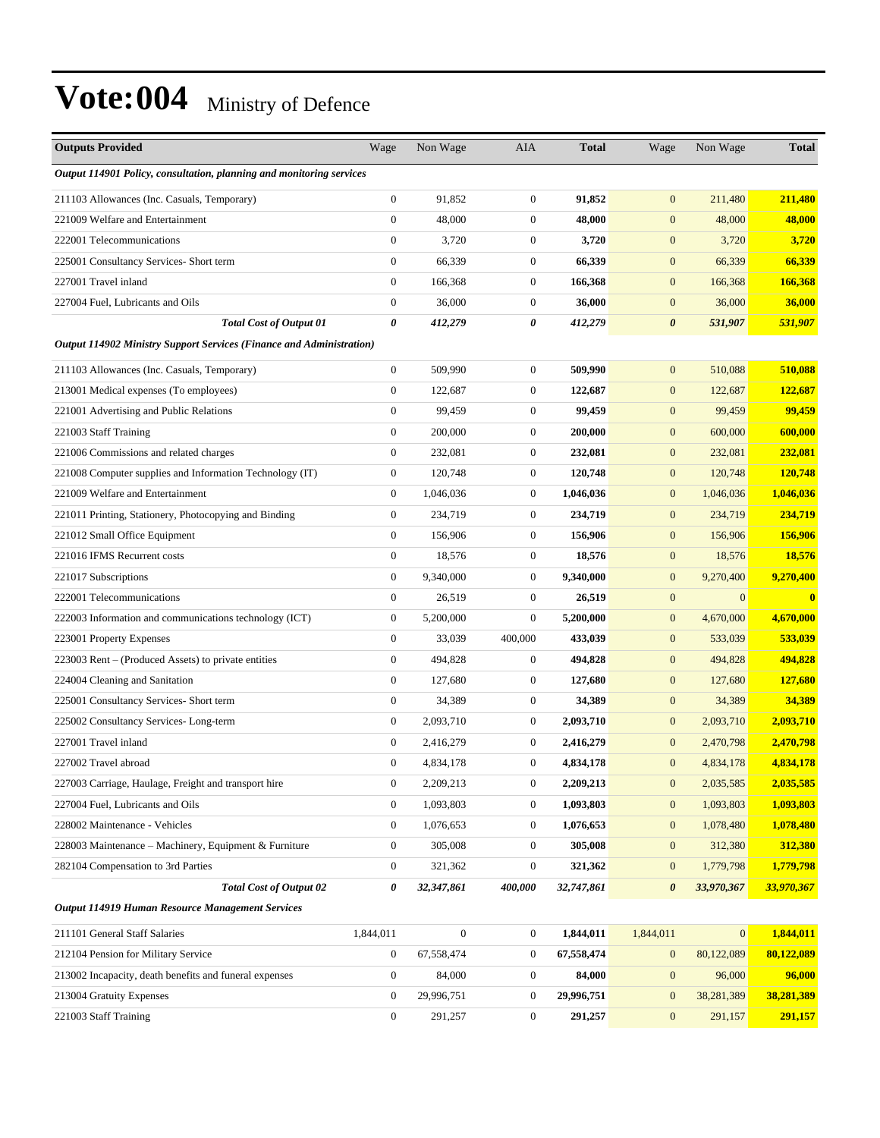| <b>Outputs Provided</b>                                              | Wage             | Non Wage     | AIA                   | <b>Total</b> | Wage                  | Non Wage     | <b>Total</b> |
|----------------------------------------------------------------------|------------------|--------------|-----------------------|--------------|-----------------------|--------------|--------------|
| Output 114901 Policy, consultation, planning and monitoring services |                  |              |                       |              |                       |              |              |
| 211103 Allowances (Inc. Casuals, Temporary)                          | $\boldsymbol{0}$ | 91,852       | $\boldsymbol{0}$      | 91,852       | $\boldsymbol{0}$      | 211,480      | 211,480      |
| 221009 Welfare and Entertainment                                     | $\boldsymbol{0}$ | 48,000       | $\mathbf{0}$          | 48,000       | $\mathbf{0}$          | 48,000       | 48,000       |
| 222001 Telecommunications                                            | $\boldsymbol{0}$ | 3,720        | $\boldsymbol{0}$      | 3,720        | $\mathbf{0}$          | 3,720        | 3,720        |
| 225001 Consultancy Services- Short term                              | $\boldsymbol{0}$ | 66,339       | $\boldsymbol{0}$      | 66,339       | $\boldsymbol{0}$      | 66,339       | 66,339       |
| 227001 Travel inland                                                 | $\boldsymbol{0}$ | 166,368      | $\boldsymbol{0}$      | 166,368      | $\mathbf{0}$          | 166,368      | 166,368      |
| 227004 Fuel. Lubricants and Oils                                     | $\boldsymbol{0}$ | 36,000       | $\boldsymbol{0}$      | 36,000       | $\boldsymbol{0}$      | 36,000       | 36,000       |
| <b>Total Cost of Output 01</b>                                       | 0                | 412,279      | 0                     | 412,279      | $\boldsymbol{\theta}$ | 531,907      | 531,907      |
| Output 114902 Ministry Support Services (Finance and Administration) |                  |              |                       |              |                       |              |              |
| 211103 Allowances (Inc. Casuals, Temporary)                          | $\boldsymbol{0}$ | 509,990      | $\boldsymbol{0}$      | 509,990      | $\boldsymbol{0}$      | 510,088      | 510,088      |
| 213001 Medical expenses (To employees)                               | $\boldsymbol{0}$ | 122,687      | $\boldsymbol{0}$      | 122,687      | $\boldsymbol{0}$      | 122,687      | 122,687      |
| 221001 Advertising and Public Relations                              | $\boldsymbol{0}$ | 99,459       | $\boldsymbol{0}$      | 99,459       | $\boldsymbol{0}$      | 99,459       | 99,459       |
| 221003 Staff Training                                                | $\boldsymbol{0}$ | 200,000      | $\boldsymbol{0}$      | 200,000      | $\boldsymbol{0}$      | 600,000      | 600,000      |
| 221006 Commissions and related charges                               | $\boldsymbol{0}$ | 232,081      | $\boldsymbol{0}$      | 232,081      | $\boldsymbol{0}$      | 232,081      | 232,081      |
| 221008 Computer supplies and Information Technology (IT)             | $\boldsymbol{0}$ | 120,748      | $\boldsymbol{0}$      | 120,748      | $\boldsymbol{0}$      | 120,748      | 120,748      |
| 221009 Welfare and Entertainment                                     | $\boldsymbol{0}$ | 1,046,036    | $\boldsymbol{0}$      | 1,046,036    | $\boldsymbol{0}$      | 1,046,036    | 1,046,036    |
| 221011 Printing, Stationery, Photocopying and Binding                | $\boldsymbol{0}$ | 234,719      | $\boldsymbol{0}$      | 234,719      | $\mathbf{0}$          | 234,719      | 234,719      |
| 221012 Small Office Equipment                                        | $\boldsymbol{0}$ | 156,906      | $\boldsymbol{0}$      | 156,906      | $\boldsymbol{0}$      | 156,906      | 156,906      |
| 221016 IFMS Recurrent costs                                          | $\boldsymbol{0}$ | 18,576       | $\mathbf{0}$          | 18,576       | $\boldsymbol{0}$      | 18,576       | 18,576       |
| 221017 Subscriptions                                                 | $\boldsymbol{0}$ | 9,340,000    | $\boldsymbol{0}$      | 9,340,000    | $\boldsymbol{0}$      | 9,270,400    | 9,270,400    |
| 222001 Telecommunications                                            | $\boldsymbol{0}$ | 26,519       | $\boldsymbol{0}$      | 26,519       | $\boldsymbol{0}$      | $\mathbf{0}$ | $\mathbf{0}$ |
| 222003 Information and communications technology (ICT)               | $\boldsymbol{0}$ | 5,200,000    | $\mathbf{0}$          | 5,200,000    | $\mathbf{0}$          | 4,670,000    | 4,670,000    |
| 223001 Property Expenses                                             | $\boldsymbol{0}$ | 33,039       | 400,000               | 433,039      | $\boldsymbol{0}$      | 533,039      | 533,039      |
| 223003 Rent - (Produced Assets) to private entities                  | $\boldsymbol{0}$ | 494,828      | $\mathbf{0}$          | 494,828      | $\mathbf{0}$          | 494,828      | 494,828      |
| 224004 Cleaning and Sanitation                                       | $\boldsymbol{0}$ | 127,680      | $\boldsymbol{0}$      | 127,680      | $\boldsymbol{0}$      | 127,680      | 127,680      |
| 225001 Consultancy Services- Short term                              | $\boldsymbol{0}$ | 34,389       | $\boldsymbol{0}$      | 34,389       | $\boldsymbol{0}$      | 34,389       | 34,389       |
| 225002 Consultancy Services-Long-term                                | $\boldsymbol{0}$ | 2,093,710    | $\boldsymbol{0}$      | 2,093,710    | $\mathbf{0}$          | 2,093,710    | 2,093,710    |
| 227001 Travel inland                                                 | $\mathbf{0}$     | 2,416,279    | $\mathbf{0}$          | 2,416,279    | $\mathbf{0}$          | 2,470,798    | 2,470,798    |
| 227002 Travel abroad                                                 | $\boldsymbol{0}$ | 4,834,178    | $\mathbf{0}$          | 4,834,178    | $\mathbf{0}$          | 4,834,178    | 4,834,178    |
| 227003 Carriage, Haulage, Freight and transport hire                 | $\boldsymbol{0}$ | 2,209,213    | $\boldsymbol{0}$      | 2,209,213    | $\boldsymbol{0}$      | 2,035,585    | 2,035,585    |
| 227004 Fuel, Lubricants and Oils                                     | $\boldsymbol{0}$ | 1,093,803    | $\boldsymbol{0}$      | 1,093,803    | $\boldsymbol{0}$      | 1,093,803    | 1,093,803    |
| 228002 Maintenance - Vehicles                                        | $\boldsymbol{0}$ | 1,076,653    | $\boldsymbol{0}$      | 1,076,653    | $\mathbf{0}$          | 1,078,480    | 1,078,480    |
| 228003 Maintenance – Machinery, Equipment & Furniture                | $\boldsymbol{0}$ | 305,008      | $\boldsymbol{0}$      | 305,008      | $\boldsymbol{0}$      | 312,380      | 312,380      |
| 282104 Compensation to 3rd Parties                                   | $\boldsymbol{0}$ | 321,362      | $\boldsymbol{0}$      | 321,362      | $\boldsymbol{0}$      | 1,779,798    | 1,779,798    |
| <b>Total Cost of Output 02</b>                                       | 0                | 32,347,861   | <i><b>400,000</b></i> | 32,747,861   | $\boldsymbol{\theta}$ | 33,970,367   | 33,970,367   |
| Output 114919 Human Resource Management Services                     |                  |              |                       |              |                       |              |              |
| 211101 General Staff Salaries                                        | 1,844,011        | $\mathbf{0}$ | $\boldsymbol{0}$      | 1,844,011    | 1,844,011             | $\mathbf{0}$ | 1,844,011    |
| 212104 Pension for Military Service                                  | $\boldsymbol{0}$ | 67,558,474   | $\boldsymbol{0}$      | 67,558,474   | $\mathbf{0}$          | 80,122,089   | 80,122,089   |
| 213002 Incapacity, death benefits and funeral expenses               | $\boldsymbol{0}$ | 84,000       | $\boldsymbol{0}$      | 84,000       | $\boldsymbol{0}$      | 96,000       | 96,000       |
| 213004 Gratuity Expenses                                             | $\boldsymbol{0}$ | 29,996,751   | $\boldsymbol{0}$      | 29,996,751   | $\mathbf{0}$          | 38,281,389   | 38,281,389   |
| 221003 Staff Training                                                | $\boldsymbol{0}$ | 291,257      | $\boldsymbol{0}$      | 291,257      | $\mathbf{0}$          | 291,157      | 291,157      |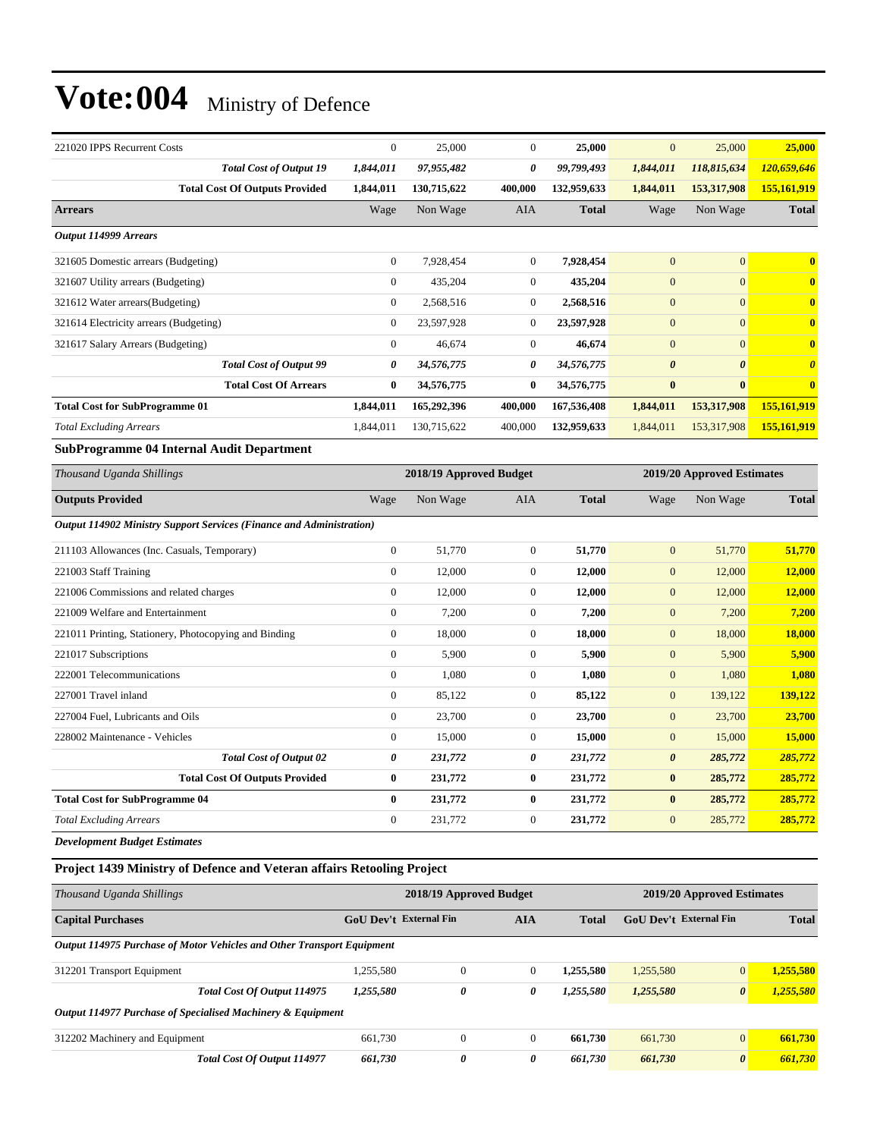| 221020 IPPS Recurrent Costs                                            |                                       | $\boldsymbol{0}$        | 25,000                  | $\mathbf{0}$     | 25,000       | $\boldsymbol{0}$      | 25,000                     | 25,000                |
|------------------------------------------------------------------------|---------------------------------------|-------------------------|-------------------------|------------------|--------------|-----------------------|----------------------------|-----------------------|
|                                                                        | <b>Total Cost of Output 19</b>        | 1,844,011               | 97,955,482              | 0                | 99,799,493   | 1,844,011             | 118,815,634                | 120,659,646           |
|                                                                        | <b>Total Cost Of Outputs Provided</b> | 1,844,011               | 130,715,622             | 400,000          | 132,959,633  | 1,844,011             | 153,317,908                | 155,161,919           |
| <b>Arrears</b>                                                         |                                       | Wage                    | Non Wage                | AIA              | <b>Total</b> | Wage                  | Non Wage                   | <b>Total</b>          |
| Output 114999 Arrears                                                  |                                       |                         |                         |                  |              |                       |                            |                       |
| 321605 Domestic arrears (Budgeting)                                    |                                       | $\boldsymbol{0}$        | 7,928,454               | $\mathbf{0}$     | 7,928,454    | $\mathbf{0}$          | $\overline{0}$             | $\bf{0}$              |
| 321607 Utility arrears (Budgeting)                                     |                                       | $\boldsymbol{0}$        | 435,204                 | $\mathbf{0}$     | 435,204      | $\overline{0}$        | $\boldsymbol{0}$           | $\bf{0}$              |
| 321612 Water arrears(Budgeting)                                        |                                       | $\boldsymbol{0}$        | 2,568,516               | $\mathbf{0}$     | 2,568,516    | $\boldsymbol{0}$      | $\overline{0}$             | $\bf{0}$              |
| 321614 Electricity arrears (Budgeting)                                 |                                       | $\boldsymbol{0}$        | 23,597,928              | $\boldsymbol{0}$ | 23,597,928   | $\mathbf{0}$          | $\boldsymbol{0}$           | $\bf{0}$              |
| 321617 Salary Arrears (Budgeting)                                      |                                       | $\boldsymbol{0}$        | 46,674                  | $\mathbf{0}$     | 46,674       | $\boldsymbol{0}$      | $\overline{0}$             | $\bf{0}$              |
|                                                                        | <b>Total Cost of Output 99</b>        | 0                       | 34,576,775              | 0                | 34,576,775   | $\boldsymbol{\theta}$ | $\boldsymbol{\theta}$      | $\boldsymbol{\theta}$ |
|                                                                        | <b>Total Cost Of Arrears</b>          | $\bf{0}$                | 34,576,775              | $\bf{0}$         | 34,576,775   | $\bf{0}$              | $\bf{0}$                   | $\mathbf{0}$          |
| <b>Total Cost for SubProgramme 01</b>                                  |                                       | 1,844,011               | 165,292,396             | 400,000          | 167,536,408  | 1,844,011             | 153,317,908                | 155,161,919           |
| <b>Total Excluding Arrears</b>                                         |                                       | 1,844,011               | 130,715,622             | 400,000          | 132,959,633  | 1,844,011             | 153,317,908                | 155,161,919           |
| <b>SubProgramme 04 Internal Audit Department</b>                       |                                       |                         |                         |                  |              |                       |                            |                       |
| Thousand Uganda Shillings                                              |                                       | 2018/19 Approved Budget |                         |                  |              |                       | 2019/20 Approved Estimates |                       |
| <b>Outputs Provided</b>                                                |                                       | Wage                    | Non Wage                | AIA              | <b>Total</b> | Wage                  | Non Wage                   | <b>Total</b>          |
| Output 114902 Ministry Support Services (Finance and Administration)   |                                       |                         |                         |                  |              |                       |                            |                       |
| 211103 Allowances (Inc. Casuals, Temporary)                            |                                       | $\boldsymbol{0}$        | 51,770                  | $\boldsymbol{0}$ | 51,770       | $\mathbf{0}$          | 51,770                     | 51,770                |
| 221003 Staff Training                                                  |                                       | $\boldsymbol{0}$        | 12,000                  | $\mathbf{0}$     | 12,000       | $\mathbf{0}$          | 12,000                     | 12,000                |
| 221006 Commissions and related charges                                 |                                       | $\boldsymbol{0}$        | 12,000                  | $\mathbf{0}$     | 12,000       | $\overline{0}$        | 12,000                     | 12,000                |
| 221009 Welfare and Entertainment                                       |                                       | $\boldsymbol{0}$        | 7,200                   | $\mathbf{0}$     | 7,200        | $\boldsymbol{0}$      | 7,200                      | 7,200                 |
| 221011 Printing, Stationery, Photocopying and Binding                  |                                       | $\boldsymbol{0}$        | 18,000                  | $\mathbf{0}$     | 18,000       | $\boldsymbol{0}$      | 18,000                     | 18,000                |
| 221017 Subscriptions                                                   |                                       | $\boldsymbol{0}$        | 5,900                   | $\boldsymbol{0}$ | 5,900        | $\boldsymbol{0}$      | 5,900                      | 5,900                 |
| 222001 Telecommunications                                              |                                       | $\boldsymbol{0}$        | 1,080                   | $\mathbf{0}$     | 1,080        | $\boldsymbol{0}$      | 1,080                      | 1,080                 |
| 227001 Travel inland                                                   |                                       | $\boldsymbol{0}$        | 85,122                  | $\mathbf{0}$     | 85,122       | $\overline{0}$        | 139,122                    | 139,122               |
| 227004 Fuel, Lubricants and Oils                                       |                                       | $\boldsymbol{0}$        | 23,700                  | $\mathbf{0}$     | 23,700       | $\boldsymbol{0}$      | 23,700                     | 23,700                |
| 228002 Maintenance - Vehicles                                          |                                       | $\boldsymbol{0}$        | 15,000                  | $\mathbf{0}$     | 15,000       | $\boldsymbol{0}$      | 15,000                     | 15,000                |
|                                                                        | <b>Total Cost of Output 02</b>        | 0                       | 231,772                 | 0                | 231,772      | 0                     | 285,772                    | 285,772               |
|                                                                        | <b>Total Cost Of Outputs Provided</b> | $\bf{0}$                | 231,772                 | $\bf{0}$         | 231,772      | $\bf{0}$              | 285,772                    | <u>285,772 </u>       |
| <b>Total Cost for SubProgramme 04</b>                                  |                                       | $\bf{0}$                | 231,772                 | $\bf{0}$         | 231,772      | $\bf{0}$              | 285,772                    | 285,772               |
| <b>Total Excluding Arrears</b>                                         |                                       | $\boldsymbol{0}$        | 231,772                 | $\mathbf{0}$     | 231,772      | $\mathbf{0}$          | 285,772                    | 285,772               |
| <b>Development Budget Estimates</b>                                    |                                       |                         |                         |                  |              |                       |                            |                       |
| Project 1439 Ministry of Defence and Veteran affairs Retooling Project |                                       |                         |                         |                  |              |                       |                            |                       |
| Thousand Uganda Shillings                                              |                                       |                         | 2018/19 Approved Budget |                  |              |                       | 2019/20 Approved Estimates |                       |

| Thomselve of contact photography                                       | $2010/12$ is part of the butter of |                  |          |              | $2012120$ in pproved Estimates |                       |              |
|------------------------------------------------------------------------|------------------------------------|------------------|----------|--------------|--------------------------------|-----------------------|--------------|
| <b>Capital Purchases</b>                                               | <b>GoU Dev't External Fin</b>      |                  | AIA      | <b>Total</b> | GoU Dev't External Fin         |                       | <b>Total</b> |
| Output 114975 Purchase of Motor Vehicles and Other Transport Equipment |                                    |                  |          |              |                                |                       |              |
| 312201 Transport Equipment                                             | 1,255,580                          | $\boldsymbol{0}$ | $\Omega$ | 1.255.580    | 1,255,580                      | $\overline{0}$        | 1.255.580    |
| Total Cost Of Output 114975                                            | 1,255,580                          | 0                | 0        | 1,255,580    | 1,255,580                      | $\boldsymbol{\theta}$ | 1,255,580    |
| Output 114977 Purchase of Specialised Machinery & Equipment            |                                    |                  |          |              |                                |                       |              |
| 312202 Machinery and Equipment                                         | 661,730                            | $\mathbf{0}$     | $\Omega$ | 661.730      | 661,730                        | $\overline{0}$        | 661,730      |
| <b>Total Cost Of Output 114977</b>                                     | 661.730                            | $\theta$         | 0        | 661.730      | 661,730                        | $\boldsymbol{\theta}$ | 661.730      |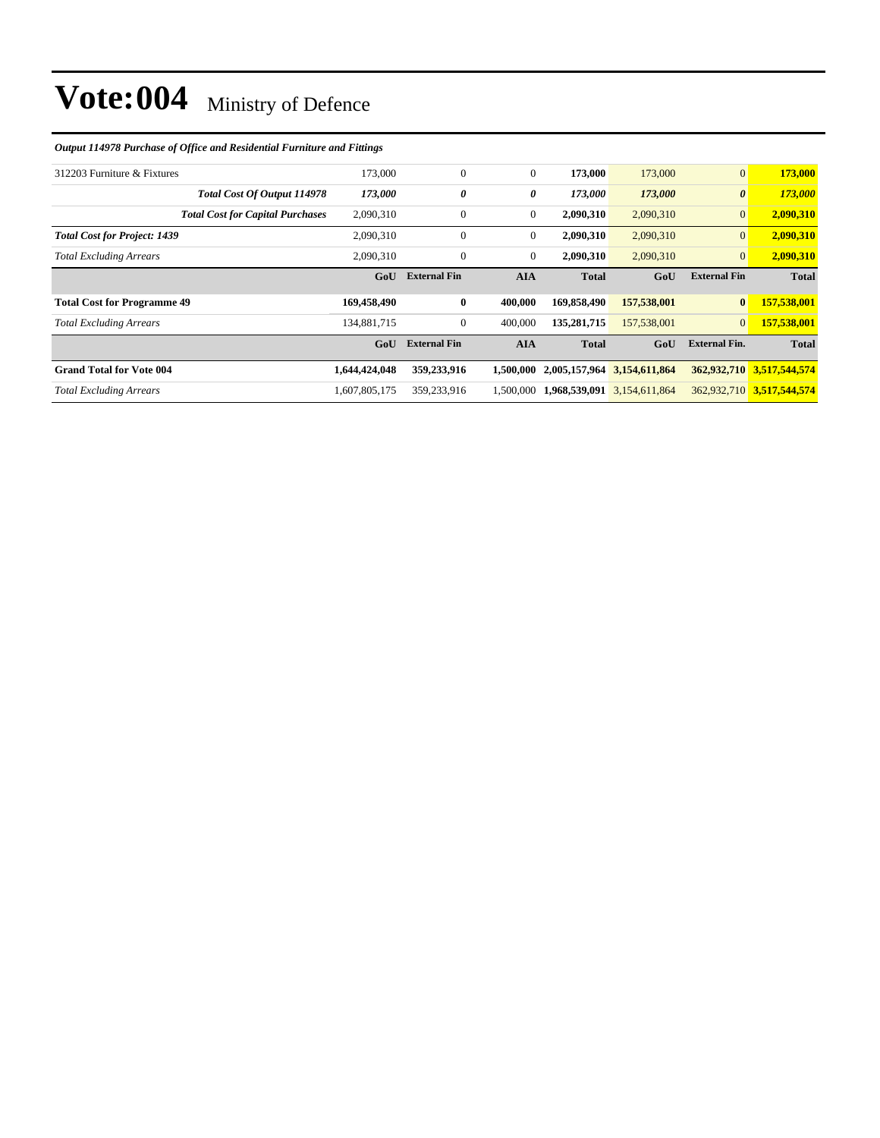#### *Output 114978 Purchase of Office and Residential Furniture and Fittings*

| 312203 Furniture & Fixtures             | 173,000       | $\mathbf{0}$        | $\mathbf{0}$ | 173,000      | 173,000                     | $\mathbf{0}$          | 173,000                   |
|-----------------------------------------|---------------|---------------------|--------------|--------------|-----------------------------|-----------------------|---------------------------|
| Total Cost Of Output 114978             | 173,000       | 0                   | 0            | 173,000      | 173,000                     | $\boldsymbol{\theta}$ | 173,000                   |
| <b>Total Cost for Capital Purchases</b> | 2,090,310     | $\overline{0}$      | $\mathbf{0}$ | 2,090,310    | 2,090,310                   | $\mathbf{0}$          | 2,090,310                 |
| <b>Total Cost for Project: 1439</b>     | 2,090,310     | $\mathbf{0}$        | $\mathbf{0}$ | 2,090,310    | 2,090,310                   | $\mathbf{0}$          | 2,090,310                 |
| <b>Total Excluding Arrears</b>          | 2.090.310     | $\mathbf{0}$        | $\mathbf{0}$ | 2,090,310    | 2,090,310                   | $\overline{0}$        | 2,090,310                 |
|                                         | GoU           | <b>External Fin</b> | <b>AIA</b>   | <b>Total</b> | GoU                         | <b>External Fin</b>   | <b>Total</b>              |
|                                         |               |                     |              |              |                             |                       |                           |
| <b>Total Cost for Programme 49</b>      | 169,458,490   | $\bf{0}$            | 400,000      | 169,858,490  | 157,538,001                 | $\bf{0}$              | 157,538,001               |
| <b>Total Excluding Arrears</b>          | 134,881,715   | 0                   | 400,000      | 135,281,715  | 157,538,001                 | $\overline{0}$        | 157,538,001               |
|                                         | GoU           | <b>External Fin</b> | <b>AIA</b>   | <b>Total</b> | GoU                         | <b>External Fin.</b>  | <b>Total</b>              |
| <b>Grand Total for Vote 004</b>         | 1,644,424,048 | 359,233,916         | 1.500.000    |              | 2,005,157,964 3,154,611,864 |                       | 362,932,710 3,517,544,574 |